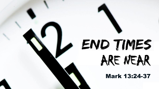# END TIMES ARE NEAR

Mark 13:24-37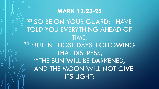**<sup>23</sup>** SO BE ON YOUR GUARD; I HAVE TOLD YOU EVERYTHING AHEAD OF TIME. **<sup>24</sup>** "BUT IN THOSE DAYS, FOLLOWING THAT DISTRESS, "'THE SUN WILL BE DARKENED, AND THE MOON WILL NOT GIVE ITS LIGHT;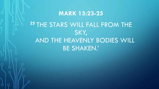## **MARK 13:23-25 <sup>25</sup>** THE STARS WILL FALL FROM THE SKY, AND THE HEAVENLY BODIES WILL BE SHAKEN.'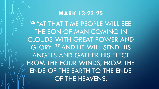**<sup>26</sup>** "AT THAT TIME PEOPLE WILL SEE THE SON OF MAN COMING IN CLOUDS WITH GREAT POWER AND GLORY. **<sup>27</sup>** AND HE WILL SEND HIS ANGELS AND GATHER HIS ELECT FROM THE FOUR WINDS, FROM THE ENDS OF THE EARTH TO THE ENDS OF THE HEAVENS.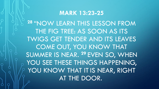**<sup>28</sup>** "NOW LEARN THIS LESSON FROM THE FIG TREE: AS SOON AS ITS TWIGS GET TENDER AND ITS LEAVES COME OUT, YOU KNOW THAT SUMMER IS NEAR. **<sup>29</sup>** EVEN SO, WHEN YOU SEE THESE THINGS HAPPENING, YOU KNOW THAT IT IS NEAR, RIGHT AT THE DOOR.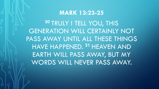**<sup>30</sup>** TRULY I TELL YOU, THIS GENERATION WILL CERTAINLY NOT PASS AWAY UNTIL ALL THESE THINGS HAVE HAPPENED. **<sup>31</sup>** HEAVEN AND EARTH WILL PASS AWAY, BUT MY WORDS WILL NEVER PASS AWAY.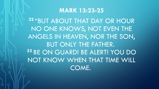**<sup>32</sup>** "BUT ABOUT THAT DAY OR HOUR NO ONE KNOWS, NOT EVEN THE ANGELS IN HEAVEN, NOR THE SON, BUT ONLY THE FATHER. **<sup>33</sup>** BE ON GUARD! BE ALERT! YOU DO NOT KNOW WHEN THAT TIME WILL COME.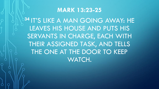**<sup>34</sup>** IT'S LIKE A MAN GOING AWAY: HE LEAVES HIS HOUSE AND PUTS HIS SERVANTS IN CHARGE, EACH WITH THEIR ASSIGNED TASK, AND TELLS THE ONE AT THE DOOR TO KEEP WATCH.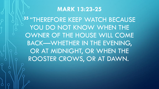**<sup>35</sup>** "THEREFORE KEEP WATCH BECAUSE YOU DO NOT KNOW WHEN THE OWNER OF THE HOUSE WILL COME BACK—WHETHER IN THE EVENING, OR AT MIDNIGHT, OR WHEN THE ROOSTER CROWS, OR AT DAWN.